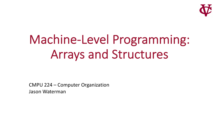

# Machine-Level Programming: Arrays and Structures

CMPU 224 – Computer Organization Jason Waterman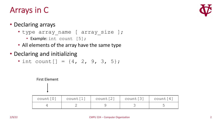#### Arrays in C



#### • Declaring arrays

- type array name [ array size ];
	- Example: int count [5];
- All elements of the array have the same type
- Declaring and initializing
	- int count  $[$ ] =  $\{4, 2, 9, 3, 5\}$ ;

#### First Element

| count[0] | count[1] | count[2] | count [3] | $\vert$ count $[4]$ |
|----------|----------|----------|-----------|---------------------|
|          |          |          |           |                     |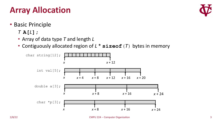## **Array Allocation**

- Basic Principle
	- *T* **A[***L***];**
	- Array of data type *T* and length *L*
	- Contiguously allocated region of *L* \* **sizeof**(*T*) bytes in memory



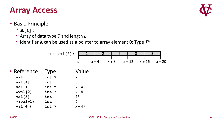#### **Array Access**

- Basic Principle
	- *T* **A[***L***];**
	- Array of data type *T* and length *L*
	- Identifier **A** can be used as a pointer to array element 0: Type *T\**

|                    | int val $[5]$ ; |                  |         | 6       |          | $\Omega$ | 3 |          |
|--------------------|-----------------|------------------|---------|---------|----------|----------|---|----------|
|                    |                 | $\boldsymbol{X}$ | $x + 4$ | $x + 8$ | $x + 12$ | $x + 16$ |   | $x + 20$ |
| • Reference        | <b>Type</b>     | Value            |         |         |          |          |   |          |
| val                | int *           | $\boldsymbol{X}$ |         |         |          |          |   |          |
| val[4]             | int             | 3                |         |         |          |          |   |          |
| $val+1$            | int *           | $x + 4$          |         |         |          |          |   |          |
| $\delta$ val $[2]$ | int *           | $x + 8$          |         |         |          |          |   |          |
| val[5]             | int             | ??ִ              |         |         |          |          |   |          |
| $*(val+1)$         | int             | $\overline{2}$   |         |         |          |          |   |          |
| $val + i$          | int *           | $x + 4i$         |         |         |          |          |   |          |
|                    |                 |                  |         |         |          |          |   |          |

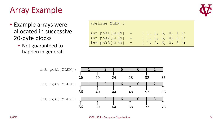#### Array Example



- Example arrays were allocated in successive 20-byte blocks
	- Not guaranteed to happen in general!

| #define ZLEN 5                |                     |
|-------------------------------|---------------------|
| $int \, \text{pok1}$ [ZLEN] = | $\{1, 2, 6, 0, 1\}$ |
| $int pok2[ZLEM] =$            | $\{1, 2, 6, 0, 2\}$ |
| $\int$ int pok3[ZLEN] =       | $\{1, 2, 6, 0, 3\}$ |

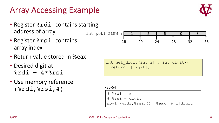#### Array Accessing Example

- Register & rdi contains starting address of array  $int \; \text{pok1} \; [\text{ZLEN}] ; \; 1 \; 1 \; 2 \; 6 \; 0 \; 3$
- Register & rsi contains array index
- Return value stored in %eax
- Desired digit at  $%rdi + 4*8rsi$
- Use memory reference (%rdi,%rsi,4)



16 20 24 28 32 36

int get digit(int z[], int digit){ return z[digit]; }

x86-64

 $# \$ ardi = z # %rsi = digit movl (%rdi,%rsi,4), %eax # z[digit]

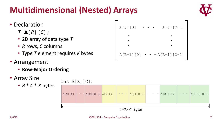## **Multidimensional (Nested) Arrays**



- Declaration
	- *T* **A**[*R*][*C*];
	- 2D array of data type *T*
	- *R* rows, *C* columns
	- Type *T* element requires *K* bytes
- Arrangement
	- **Row-Major Ordering**
- Array Size
	- *R* \* *C* \* *K* bytes

| A[0][0] | $\bullet\quad\bullet\quad\bullet$ | A[0] [C-1]                                |  |
|---------|-----------------------------------|-------------------------------------------|--|
|         |                                   |                                           |  |
|         |                                   |                                           |  |
|         |                                   |                                           |  |
|         |                                   | $A[R-1][0] \cdot \cdot \cdot A[R-1][C-1]$ |  |

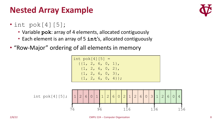#### **Nested Array Example**

- int pok[4][5];
	- Variable **pok**: array of 4 elements, allocated contiguously
	- Each element is an array of 5 **int**'s, allocated contiguously
- "Row-Major" ordering of all elements in memory

int  $pok[4][5] =$  $\{ \{1, 2, 6, 0, 1\},\$ {1, 2, 6, 0, 2}, {1, 2, 6, 0, 3},  $\{1, 2, 6, 0, 4\}$ ;

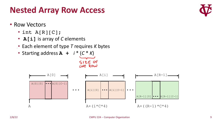- Each element of type *T* requires *K* bytes
- Starting address **A +** *i* \* (*C* \* *K*)



## **Nested Array Row Access**

- Row Vectors
	- $\cdot$  int A[R][C];





SIZE OF ONE ROW

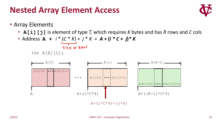#### **Nested Array Element Access**



- Array Elements
	- **A[i][j]** is element of type *T,* which requires *K* bytes and has *R* rows and *C* cols

• Address 
$$
A + i * (C * K) + j * K = A + (i * C + j) * K
$$
  
size of Row

int A[R][C];

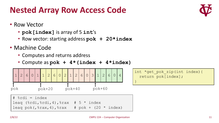}

## **Nested Array Row Access Code**

- Row Vector
	- **pok[index]** is array of 5 **int**'s
	- Row vector: starting address **pok + 20\*index**
- Machine Code
	- Computes and returns address
	- Compute as **pok + 4\*(index + 4\*index)**



int \*get\_pok\_zip(int index){ return pok[index];

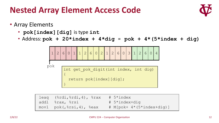#### **Nested Array Element Access Code**



- Array Elements
	- **pok[index][dig]** is type **int**

}

• Address: **pok + 20\*index + 4\*dig** = **pok + 4\*(5\*index + dig)**



| leaq $(\text{3rdi}, \text{3rdi}, 4)$ , $\text{3rax}$ | # 5*index                 |
|------------------------------------------------------|---------------------------|
| addl %rax, %rsi                                      | # 5*index+dig             |
| $mov1 pok($ , $srsi$ , 4), $seax$                    | # M[pok+ 4*(5*index+dig)] |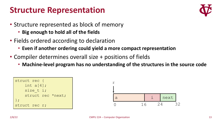#### **Structure Representation**



- Structure represented as block of memory
	- **Big enough to hold all of the fields**
- Fields ordered according to declaration
	- **Even if another ordering could yield a more compact representation**
- Compiler determines overall size + positions of fields
	- **Machine-level program has no understanding of the structures in the source code**

| struct rec {  |                   |
|---------------|-------------------|
| int $a[4]$ ;  |                   |
| size $t$ i;   |                   |
|               | struct rec *next; |
| $\}$ ;        |                   |
| struct rec r; |                   |

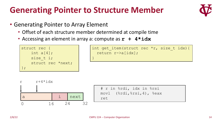#### **Generating Pointer to Structure Member**



- Generating Pointer to Array Element
	- Offset of each structure member determined at compile time
	- Accessing an element in array a: compute as  $\mathbf{r}$  + 4\*idx



```
int get item(struct rec *r, size t idx){
 return r->a[idx];
}
```




|     | # r in %rdi, idx in %rsi         |
|-----|----------------------------------|
|     | $mov1$ $(*rdi, rsi, 4)$ , $seax$ |
| ret |                                  |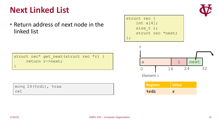#### **Next Linked List**

• Return address of next node in the linked list

struct rec { int a[4]; size\_t i; struct rec \*next; };

struct rec\* get next(struct rec \*r) { return r->next;



| $\lceil \text{movq} \rceil$ 24 ( $\text{srdi}$ ), $\text{srax}$ |  |
|-----------------------------------------------------------------|--|
| ret                                                             |  |

Element i

r

| Register        | <b>Value</b> |
|-----------------|--------------|
| <b>&amp;rdi</b> | ∽            |



}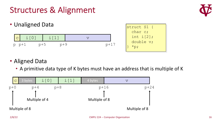#### Structures & Alignment



- Unaligned Data  $i[0]$   $i[1]$  v p p+1 p+5 p+9 p+17 struct S1 { char c; int  $i[2]$ ; double v;  $*_{\mathsf{p}};$
- Aligned Data
	- A primitive data type of K bytes must have an address that is multiple of K

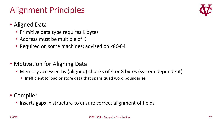#### Alignment Principles

- Aligned Data
	- Primitive data type requires K bytes
	- Address must be multiple of K
	- Required on some machines; advised on x86-64
- Motivation for Aligning Data
	- Memory accessed by (aligned) chunks of 4 or 8 bytes (system dependent)
		- Inefficient to load or store data that spans quad word boundaries
- Compiler
	- Inserts gaps in structure to ensure correct alignment of fields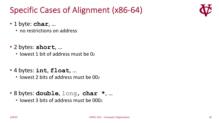## Specific Cases of Alignment (x86-64)



- 1 byte: **char**, …
	- no restrictions on address
- 2 bytes: **short**, …
	- lowest 1 bit of address must be 02
- 4 bytes: **int**, **float**, …
	- lowest 2 bits of address must be 002
- 8 bytes: **double**, long, **char \***, …
	- lowest 3 bits of address must be 0002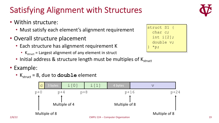#### Satisfying Alignment with Structures

- Within structure:
	- Must satisfy each element's alignment requirement
- Overall structure placement
	- Each structure has alignment requirement K
		- $K<sub>struct</sub>$  = Largest alignment of any element in struct
	- Initial address & structure length must be multiples of  $K<sub>struct</sub>$
- Example:
	- $K_{struct} = 8$ , due to **double** element





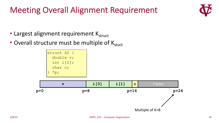#### Meeting Overall Alignment Requirement



- Largest alignment requirement  $K_{struct}$
- Overall structure must be multiple of  $K_{\text{struct}}$

| struct S2 {         |  |
|---------------------|--|
| double v;           |  |
| int $i[2]$ ;        |  |
| char c;             |  |
| $*_{\mathcal{D}}$ ; |  |

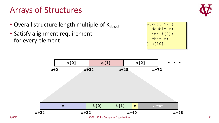## Arrays of Structures



- Overall structure length multiple of  $K_{struct}$
- Satisfy alignment requirement for every element



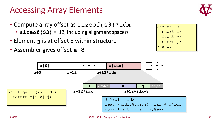#### Accessing Array Elements





- Compute array offset as sizeof (s3) \*idx
	- **sizeof(S3)** = 12, including alignment spacers
- Element **j** is at offset 8 within structure
- Assembler gives offset **a+8**

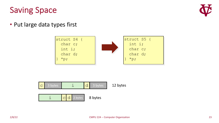#### Saving Space



• Put large data types first